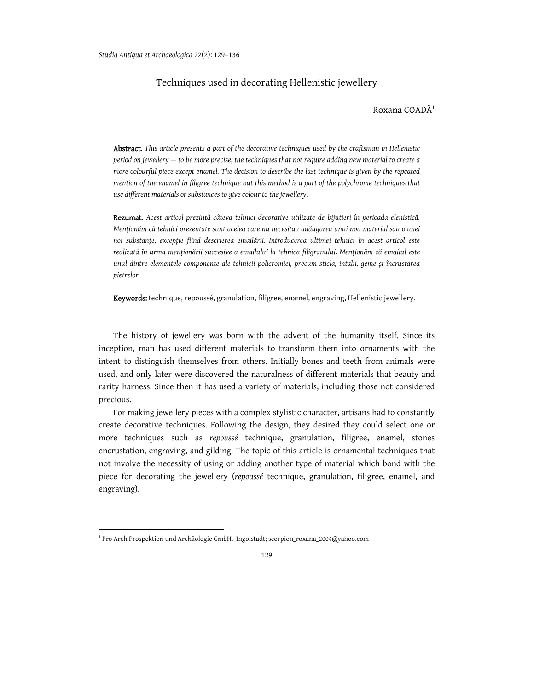## Techniques used in decorating Hellenistic jewellery

## $Roxana COAD<sup>1</sup>$

Abstract. *This article presents a part of the decorative techniques used by the craftsman in Hellenistic period on jewellery — to be more precise, the techniques that not require adding new material to create a more colourful piece except enamel. The decision to describe the last technique is given by the repeated mention of the enamel in filigree technique but this method is a part of the polychrome techniques that use different materials or substances to give colour to the jewellery.* 

Rezumat. *Acest articol prezintă câteva tehnici decorative utilizate de bijutieri în perioada elenistică. Menționăm că tehnici prezentate sunt acelea care nu necesitau adăugarea unui nou material sau o unei noi substanțe, excepție fiind descrierea emailării. Introducerea ultimei tehnici în acest articol este realizată în urma menționării succesive a emailului la tehnica filigranului. Menționăm că emailul este unul dintre elementele componente ale tehnicii policromiei, precum sticla, intalii, geme și încrustarea pietrelor.* 

Keywords: technique, repoussé, granulation, filigree, enamel, engraving, Hellenistic jewellery*.* 

The history of jewellery was born with the advent of the humanity itself. Since its inception, man has used different materials to transform them into ornaments with the intent to distinguish themselves from others. Initially bones and teeth from animals were used, and only later were discovered the naturalness of different materials that beauty and rarity harness. Since then it has used a variety of materials, including those not considered precious.

For making jewellery pieces with a complex stylistic character, artisans had to constantly create decorative techniques. Following the design, they desired they could select one or more techniques such as *repoussé* technique, granulation, filigree, enamel, stones encrustation, engraving, and gilding. The topic of this article is ornamental techniques that not involve the necessity of using or adding another type of material which bond with the piece for decorating the jewellery (*repoussé* technique, granulation, filigree, enamel, and engraving).

<sup>1</sup> Pro Arch Prospektion und Archäologie GmbH, Ingolstadt; scorpion\_roxana\_2004@yahoo.com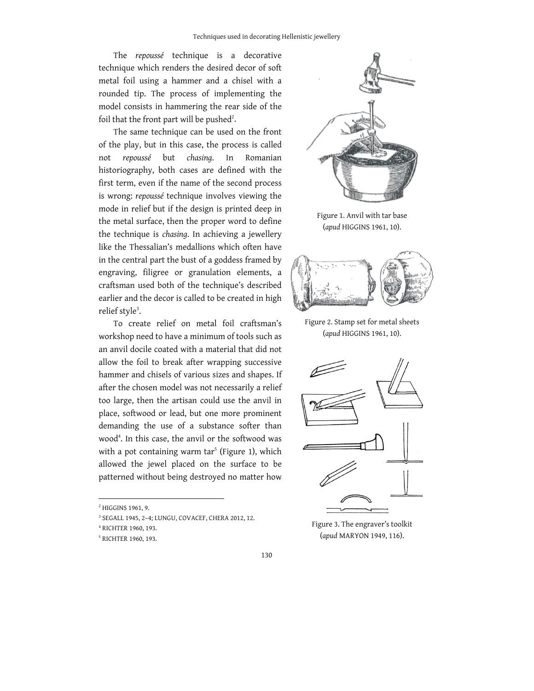The *repoussé* technique is a decorative technique which renders the desired decor of soft metal foil using a hammer and a chisel with a rounded tip. The process of implementing the model consists in hammering the rear side of the foil that the front part will be pushed $^2$ .

The same technique can be used on the front of the play, but in this case, the process is called not *repoussé* but *chasing*. In Romanian historiography, both cases are defined with the first term, even if the name of the second process is wrong: *repoussé* technique involves viewing the mode in relief but if the design is printed deep in the metal surface, then the proper word to define the technique is *chasing*. In achieving a jewellery like the Thessalian's medallions which often have in the central part the bust of a goddess framed by engraving, filigree or granulation elements, a craftsman used both of the technique's described earlier and the decor is called to be created in high relief style<sup>3</sup>.

To create relief on metal foil craftsman's workshop need to have a minimum of tools such as an anvil docile coated with a material that did not allow the foil to break after wrapping successive hammer and chisels of various sizes and shapes. If after the chosen model was not necessarily a relief too large, then the artisan could use the anvil in place, softwood or lead, but one more prominent demanding the use of a substance softer than wood4 . In this case, the anvil or the softwood was with a pot containing warm tar<sup>5</sup> (Figure 1), which allowed the jewel placed on the surface to be patterned without being destroyed no matter how



Figure 1. Anvil with tar base (*apud* HIGGINS 1961, 10).



Figure 2. Stamp set for metal sheets (*apud* HIGGINS 1961, 10).



Figure 3. The engraver's toolkit (*apud* MARYON 1949, 116).

<sup>2</sup> HIGGINS 1961, 9.

<sup>3</sup> SEGALL 1945, 2–4; LUNGU, COVACEF, CHERA 2012, 12.

<sup>4</sup> RICHTER 1960, 193.

<sup>5</sup> RICHTER 1960, 193.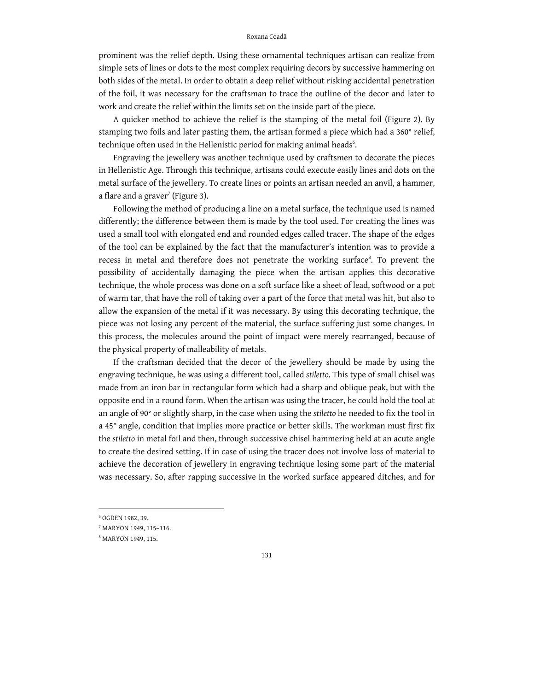## Roxana Coadă

prominent was the relief depth. Using these ornamental techniques artisan can realize from simple sets of lines or dots to the most complex requiring decors by successive hammering on both sides of the metal. In order to obtain a deep relief without risking accidental penetration of the foil, it was necessary for the craftsman to trace the outline of the decor and later to work and create the relief within the limits set on the inside part of the piece.

A quicker method to achieve the relief is the stamping of the metal foil (Figure 2). By stamping two foils and later pasting them, the artisan formed a piece which had a 360° relief, technique often used in the Hellenistic period for making animal heads $^{\rm 6}.$ 

Engraving the jewellery was another technique used by craftsmen to decorate the pieces in Hellenistic Age. Through this technique, artisans could execute easily lines and dots on the metal surface of the jewellery. To create lines or points an artisan needed an anvil, a hammer, a flare and a graver $^7$  (Figure 3).

Following the method of producing a line on a metal surface, the technique used is named differently; the difference between them is made by the tool used. For creating the lines was used a small tool with elongated end and rounded edges called tracer. The shape of the edges of the tool can be explained by the fact that the manufacturer's intention was to provide a recess in metal and therefore does not penetrate the working surface<sup>8</sup>. To prevent the possibility of accidentally damaging the piece when the artisan applies this decorative technique, the whole process was done on a soft surface like a sheet of lead, softwood or a pot of warm tar, that have the roll of taking over a part of the force that metal was hit, but also to allow the expansion of the metal if it was necessary. By using this decorating technique, the piece was not losing any percent of the material, the surface suffering just some changes. In this process, the molecules around the point of impact were merely rearranged, because of the physical property of malleability of metals.

If the craftsman decided that the decor of the jewellery should be made by using the engraving technique, he was using a different tool, called *stiletto*. This type of small chisel was made from an iron bar in rectangular form which had a sharp and oblique peak, but with the opposite end in a round form. When the artisan was using the tracer, he could hold the tool at an angle of 90° or slightly sharp, in the case when using the *stiletto* he needed to fix the tool in a 45° angle, condition that implies more practice or better skills. The workman must first fix the *stiletto* in metal foil and then, through successive chisel hammering held at an acute angle to create the desired setting. If in case of using the tracer does not involve loss of material to achieve the decoration of jewellery in engraving technique losing some part of the material was necessary. So, after rapping successive in the worked surface appeared ditches, and for

<sup>6</sup> OGDEN 1982, 39.

<sup>7</sup> MARYON 1949, 115–116.

<sup>8</sup> MARYON 1949, 115.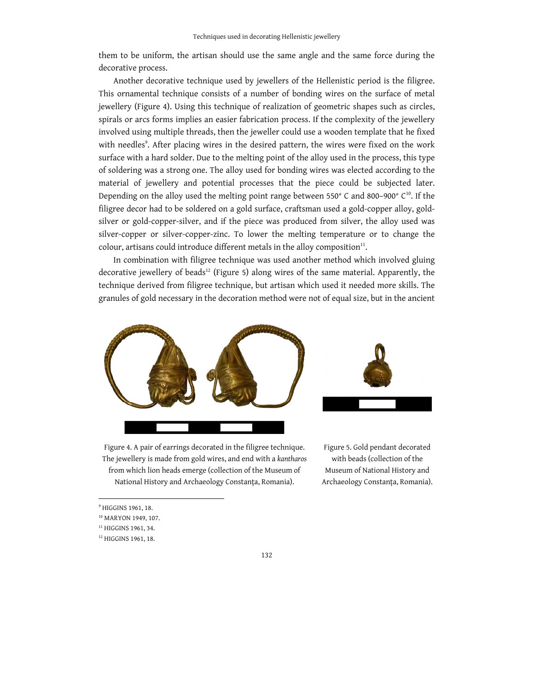them to be uniform, the artisan should use the same angle and the same force during the decorative process.

Another decorative technique used by jewellers of the Hellenistic period is the filigree. This ornamental technique consists of a number of bonding wires on the surface of metal jewellery (Figure 4). Using this technique of realization of geometric shapes such as circles, spirals or arcs forms implies an easier fabrication process. If the complexity of the jewellery involved using multiple threads, then the jeweller could use a wooden template that he fixed with needles<sup>9</sup>. After placing wires in the desired pattern, the wires were fixed on the work surface with a hard solder. Due to the melting point of the alloy used in the process, this type of soldering was a strong one. The alloy used for bonding wires was elected according to the material of jewellery and potential processes that the piece could be subjected later. Depending on the alloy used the melting point range between 550° C and 800–900° C<sup>10</sup>. If the filigree decor had to be soldered on a gold surface, craftsman used a gold-copper alloy, goldsilver or gold-copper-silver, and if the piece was produced from silver, the alloy used was silver-copper or silver-copper-zinc. To lower the melting temperature or to change the colour, artisans could introduce different metals in the alloy composition $11$ .

In combination with filigree technique was used another method which involved gluing decorative jewellery of beads<sup>12</sup> (Figure 5) along wires of the same material. Apparently, the technique derived from filigree technique, but artisan which used it needed more skills. The granules of gold necessary in the decoration method were not of equal size, but in the ancient







Figure 5. Gold pendant decorated with beads (collection of the Museum of National History and Archaeology Constanța, Romania).

<sup>9</sup> HIGGINS 1961, 18.

<sup>&</sup>lt;sup>10</sup> MARYON 1949, 107.

<sup>&</sup>lt;sup>11</sup> HIGGINS 1961, 34.

<sup>12</sup> HIGGINS 1961, 18.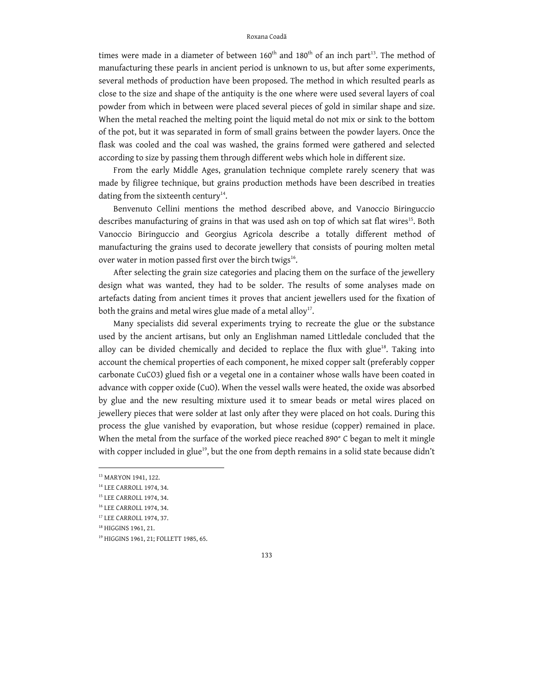times were made in a diameter of between  $160<sup>th</sup>$  and  $180<sup>th</sup>$  of an inch part<sup>13</sup>. The method of manufacturing these pearls in ancient period is unknown to us, but after some experiments, several methods of production have been proposed. The method in which resulted pearls as close to the size and shape of the antiquity is the one where were used several layers of coal powder from which in between were placed several pieces of gold in similar shape and size. When the metal reached the melting point the liquid metal do not mix or sink to the bottom of the pot, but it was separated in form of small grains between the powder layers. Once the flask was cooled and the coal was washed, the grains formed were gathered and selected according to size by passing them through different webs which hole in different size.

From the early Middle Ages, granulation technique complete rarely scenery that was made by filigree technique, but grains production methods have been described in treaties dating from the sixteenth century<sup>14</sup>.

Benvenuto Cellini mentions the method described above, and Vanoccio Biringuccio describes manufacturing of grains in that was used ash on top of which sat flat wires<sup>15</sup>. Both Vanoccio Biringuccio and Georgius Agricola describe a totally different method of manufacturing the grains used to decorate jewellery that consists of pouring molten metal over water in motion passed first over the birch twigs<sup>16</sup>.

After selecting the grain size categories and placing them on the surface of the jewellery design what was wanted, they had to be solder. The results of some analyses made on artefacts dating from ancient times it proves that ancient jewellers used for the fixation of both the grains and metal wires glue made of a metal alloy<sup>17</sup>.

Many specialists did several experiments trying to recreate the glue or the substance used by the ancient artisans, but only an Englishman named Littledale concluded that the alloy can be divided chemically and decided to replace the flux with glue<sup>18</sup>. Taking into account the chemical properties of each component, he mixed copper salt (preferably copper carbonate CuCO3) glued fish or a vegetal one in a container whose walls have been coated in advance with copper oxide (CuO). When the vessel walls were heated, the oxide was absorbed by glue and the new resulting mixture used it to smear beads or metal wires placed on jewellery pieces that were solder at last only after they were placed on hot coals. During this process the glue vanished by evaporation, but whose residue (copper) remained in place. When the metal from the surface of the worked piece reached 890° C began to melt it mingle with copper included in glue<sup>19</sup>, but the one from depth remains in a solid state because didn't

<sup>13</sup> MARYON 1941, 122.

<sup>14</sup> LEE CARROLL 1974, 34.

<sup>15</sup> LEE CARROLL 1974, 34.

<sup>16</sup> LEE CARROLL 1974, 34.

<sup>17</sup> LEE CARROLL 1974, 37.

<sup>&</sup>lt;sup>18</sup> HIGGINS 1961, 21.

<sup>19</sup> HIGGINS 1961, 21; FOLLETT 1985, 65.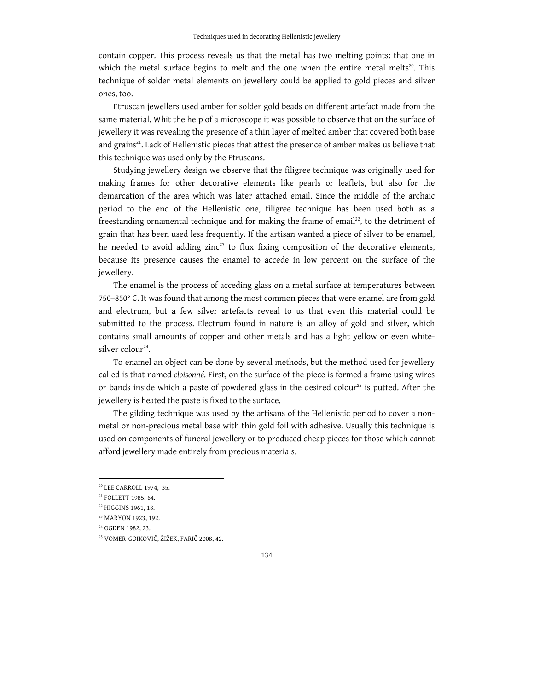contain copper. This process reveals us that the metal has two melting points: that one in which the metal surface begins to melt and the one when the entire metal melts<sup>20</sup>. This technique of solder metal elements on jewellery could be applied to gold pieces and silver ones, too.

Etruscan jewellers used amber for solder gold beads on different artefact made from the same material. Whit the help of a microscope it was possible to observe that on the surface of jewellery it was revealing the presence of a thin layer of melted amber that covered both base and grains<sup>21</sup>. Lack of Hellenistic pieces that attest the presence of amber makes us believe that this technique was used only by the Etruscans.

Studying jewellery design we observe that the filigree technique was originally used for making frames for other decorative elements like pearls or leaflets, but also for the demarcation of the area which was later attached email. Since the middle of the archaic period to the end of the Hellenistic one, filigree technique has been used both as a freestanding ornamental technique and for making the frame of email<sup>22</sup>, to the detriment of grain that has been used less frequently. If the artisan wanted a piece of silver to be enamel, he needed to avoid adding zinc<sup>23</sup> to flux fixing composition of the decorative elements, because its presence causes the enamel to accede in low percent on the surface of the jewellery.

The enamel is the process of acceding glass on a metal surface at temperatures between 750–850° C. It was found that among the most common pieces that were enamel are from gold and electrum, but a few silver artefacts reveal to us that even this material could be submitted to the process. Electrum found in nature is an alloy of gold and silver, which contains small amounts of copper and other metals and has a light yellow or even whitesilver colour<sup>24</sup>.

To enamel an object can be done by several methods, but the method used for jewellery called is that named *cloisonné*. First, on the surface of the piece is formed a frame using wires or bands inside which a paste of powdered glass in the desired colour<sup>25</sup> is putted. After the jewellery is heated the paste is fixed to the surface.

The gilding technique was used by the artisans of the Hellenistic period to cover a nonmetal or non-precious metal base with thin gold foil with adhesive. Usually this technique is used on components of funeral jewellery or to produced cheap pieces for those which cannot afford jewellery made entirely from precious materials.

<sup>20</sup> LEE CARROLL 1974, 35.

<sup>21</sup> FOLLETT 1985, 64.

<sup>&</sup>lt;sup>22</sup> HIGGINS 1961, 18.

<sup>23</sup> MARYON 1923, 192.

<sup>24</sup> OGDEN 1982, 23.

<sup>25</sup> VOMER-GOIKOVIČ, ŽIŽEK, FARIČ 2008, 42.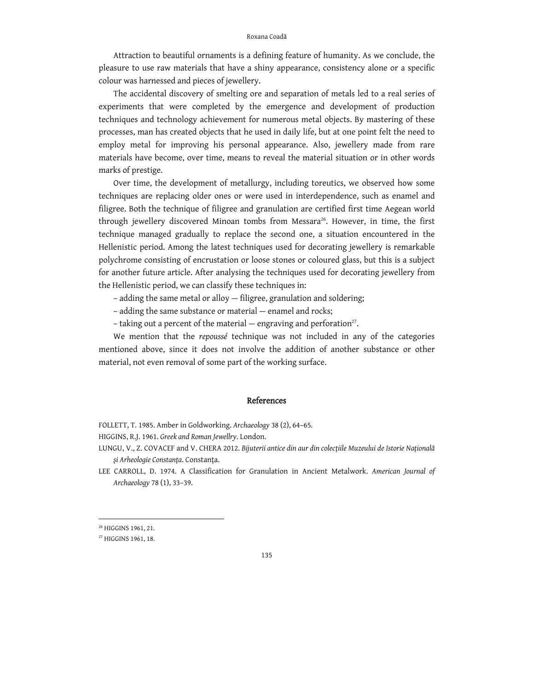Attraction to beautiful ornaments is a defining feature of humanity. As we conclude, the pleasure to use raw materials that have a shiny appearance, consistency alone or a specific colour was harnessed and pieces of jewellery.

The accidental discovery of smelting ore and separation of metals led to a real series of experiments that were completed by the emergence and development of production techniques and technology achievement for numerous metal objects. By mastering of these processes, man has created objects that he used in daily life, but at one point felt the need to employ metal for improving his personal appearance. Also, jewellery made from rare materials have become, over time, means to reveal the material situation or in other words marks of prestige.

Over time, the development of metallurgy, including toreutics, we observed how some techniques are replacing older ones or were used in interdependence, such as enamel and filigree. Both the technique of filigree and granulation are certified first time Aegean world through jewellery discovered Minoan tombs from Messara<sup>26</sup>. However, in time, the first technique managed gradually to replace the second one, a situation encountered in the Hellenistic period. Among the latest techniques used for decorating jewellery is remarkable polychrome consisting of encrustation or loose stones or coloured glass, but this is a subject for another future article. After analysing the techniques used for decorating jewellery from the Hellenistic period, we can classify these techniques in:

– adding the same metal or alloy — filigree, granulation and soldering;

– adding the same substance or material — enamel and rocks;

– taking out a percent of the material – engraving and perforation<sup>27</sup>.

We mention that the *repoussé* technique was not included in any of the categories mentioned above, since it does not involve the addition of another substance or other material, not even removal of some part of the working surface.

## References

FOLLЕTT, T. 1985. Amber in Goldworking. *Archaeology* 38 (2), 64–65.

HIGGINS, R.J. 1961. *Greek and Roman Jewellry*. London.

LUNGU, V., Z. COVACEF and V. CHERA 2012. *Bijuterii antice din aur din colecțiile Muzeului de Istorie Națională și Arheologie Constanța*. Constanța.

LЕЕ CARROLL, D. 1974. A Classification for Granulation in Anciеnt Mеtalwork. *American Journal of Archaeology* 78 (1), 33–39.

<sup>26</sup> HIGGINS 1961, 21.

<sup>27</sup> HIGGINS 1961, 18.